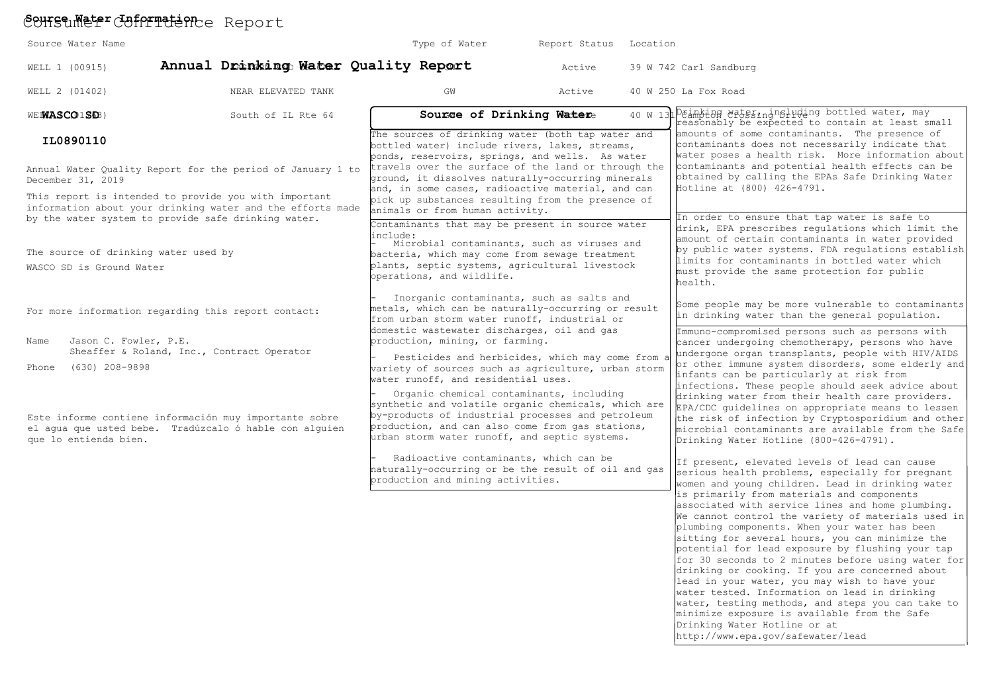# Conseumeter Cofprictence Report

| Source Water Name                                                                                                       |                                                                                                                                                                                   | Type of Water                                                                                                                                                                                                                                                                                                                                                                                                   | Report Status | Location                                                                                                                                                                                                                                                                                                                                                                                                                                                                                                                                                                                                               |                                                                                                                                                                                                                                                                                                                                                                                                                                                                                                                                                                                                                                                                                                                                                                                                                       |
|-------------------------------------------------------------------------------------------------------------------------|-----------------------------------------------------------------------------------------------------------------------------------------------------------------------------------|-----------------------------------------------------------------------------------------------------------------------------------------------------------------------------------------------------------------------------------------------------------------------------------------------------------------------------------------------------------------------------------------------------------------|---------------|------------------------------------------------------------------------------------------------------------------------------------------------------------------------------------------------------------------------------------------------------------------------------------------------------------------------------------------------------------------------------------------------------------------------------------------------------------------------------------------------------------------------------------------------------------------------------------------------------------------------|-----------------------------------------------------------------------------------------------------------------------------------------------------------------------------------------------------------------------------------------------------------------------------------------------------------------------------------------------------------------------------------------------------------------------------------------------------------------------------------------------------------------------------------------------------------------------------------------------------------------------------------------------------------------------------------------------------------------------------------------------------------------------------------------------------------------------|
| WELL 1 (00915)                                                                                                          | Annual Drinking Water Quality Report                                                                                                                                              |                                                                                                                                                                                                                                                                                                                                                                                                                 | Active        |                                                                                                                                                                                                                                                                                                                                                                                                                                                                                                                                                                                                                        | 39 W 742 Carl Sandburg                                                                                                                                                                                                                                                                                                                                                                                                                                                                                                                                                                                                                                                                                                                                                                                                |
| WELL 2 (01402)                                                                                                          | NEAR ELEVATED TANK                                                                                                                                                                | GW                                                                                                                                                                                                                                                                                                                                                                                                              | Active        |                                                                                                                                                                                                                                                                                                                                                                                                                                                                                                                                                                                                                        | 40 W 250 La Fox Road                                                                                                                                                                                                                                                                                                                                                                                                                                                                                                                                                                                                                                                                                                                                                                                                  |
| WEIWASCO1SD3)                                                                                                           | South of IL Rte 64                                                                                                                                                                | Sourge of Drinking Watere                                                                                                                                                                                                                                                                                                                                                                                       |               | 40 W 13 <sup>1</sup>                                                                                                                                                                                                                                                                                                                                                                                                                                                                                                                                                                                                   | Deinking wateriningluding bottled water, may<br>reasonably be expected to contain at least small                                                                                                                                                                                                                                                                                                                                                                                                                                                                                                                                                                                                                                                                                                                      |
| IL0890110<br>December 31, 2019                                                                                          | Annual Water Quality Report for the period of January 1 to<br>This report is intended to provide you with important<br>information about your drinking water and the efforts made | The sources of drinking water (both tap water and<br>bottled water) include rivers, lakes, streams,<br>ponds, reservoirs, springs, and wells. As water<br>travels over the surface of the land or through the<br>ground, it dissolves naturally-occurring minerals<br>and, in some cases, radioactive material, and can<br>pick up substances resulting from the presence of<br>animals or from human activity. |               | amounts of some contaminants. The presence of<br>contaminants does not necessarily indicate that<br>water poses a health risk. More information about<br>contaminants and potential health effects can be<br>obtained by calling the EPAs Safe Drinking Water<br>Hotline at (800) 426-4791.<br>In order to ensure that tap water is safe to<br>drink, EPA prescribes regulations which limit the<br>amount of certain contaminants in water provided<br>by public water systems. FDA requlations establish<br>limits for contaminants in bottled water which<br>must provide the same protection for public<br>health. |                                                                                                                                                                                                                                                                                                                                                                                                                                                                                                                                                                                                                                                                                                                                                                                                                       |
| by the water system to provide safe drinking water.<br>The source of drinking water used by<br>WASCO SD is Ground Water |                                                                                                                                                                                   | Contaminants that may be present in source water<br>include:<br>Microbial contaminants, such as viruses and<br>bacteria, which may come from sewage treatment<br>plants, septic systems, agricultural livestock<br>operations, and wildlife.                                                                                                                                                                    |               |                                                                                                                                                                                                                                                                                                                                                                                                                                                                                                                                                                                                                        |                                                                                                                                                                                                                                                                                                                                                                                                                                                                                                                                                                                                                                                                                                                                                                                                                       |
| For more information regarding this report contact:                                                                     |                                                                                                                                                                                   | Inorganic contaminants, such as salts and<br>metals, which can be naturally-occurring or result<br>from urban storm water runoff, industrial or                                                                                                                                                                                                                                                                 |               | Some people may be more vulnerable to contaminants<br>in drinking water than the general population.                                                                                                                                                                                                                                                                                                                                                                                                                                                                                                                   |                                                                                                                                                                                                                                                                                                                                                                                                                                                                                                                                                                                                                                                                                                                                                                                                                       |
| Jason C. Fowler, P.E.<br>Name<br>Phone (630) 208-9898                                                                   | Sheaffer & Roland, Inc., Contract Operator                                                                                                                                        | domestic wastewater discharges, oil and gas<br>production, mining, or farming.<br>Pesticides and herbicides, which may come from a<br>variety of sources such as agriculture, urban storm<br>water runoff, and residential uses.<br>Organic chemical contaminants, including<br>synthetic and volatile organic chemicals, which are<br>by-products of industrial processes and petroleum                        |               |                                                                                                                                                                                                                                                                                                                                                                                                                                                                                                                                                                                                                        | Immuno-compromised persons such as persons with<br>cancer undergoing chemotherapy, persons who have<br>undergone organ transplants, people with HIV/AIDS<br>or other immune system disorders, some elderly and<br>infants can be particularly at risk from<br>infections. These people should seek advice about<br>drinking water from their health care providers.<br>EPA/CDC guidelines on appropriate means to lessen                                                                                                                                                                                                                                                                                                                                                                                              |
| que lo entienda bien.                                                                                                   | Este informe contiene información muy importante sobre<br>el aqua que usted bebe. Tradúzcalo ó hable con alguien                                                                  | production, and can also come from gas stations,<br>urban storm water runoff, and septic systems.                                                                                                                                                                                                                                                                                                               |               | the risk of infection by Cryptosporidium and other<br>microbial contaminants are available from the Safe<br>Drinking Water Hotline (800-426-4791).                                                                                                                                                                                                                                                                                                                                                                                                                                                                     |                                                                                                                                                                                                                                                                                                                                                                                                                                                                                                                                                                                                                                                                                                                                                                                                                       |
|                                                                                                                         |                                                                                                                                                                                   | Radioactive contaminants, which can be<br>naturally-occurring or be the result of oil and gas<br>production and mining activities.                                                                                                                                                                                                                                                                              |               |                                                                                                                                                                                                                                                                                                                                                                                                                                                                                                                                                                                                                        | If present, elevated levels of lead can cause<br>serious health problems, especially for pregnant<br>women and young children. Lead in drinking water<br>is primarily from materials and components<br>associated with service lines and home plumbing.<br>We cannot control the variety of materials used in<br>plumbing components. When your water has been<br>sitting for several hours, you can minimize the<br>potential for lead exposure by flushing your tap<br>for 30 seconds to 2 minutes before using water for<br>drinking or cooking. If you are concerned about<br>lead in your water, you may wish to have your<br>water tested. Information on lead in drinking<br>water, testing methods, and steps you can take to<br>minimize exposure is available from the Safe<br>Drinking Water Hotline or at |

http://www.epa.gov/safewater/lead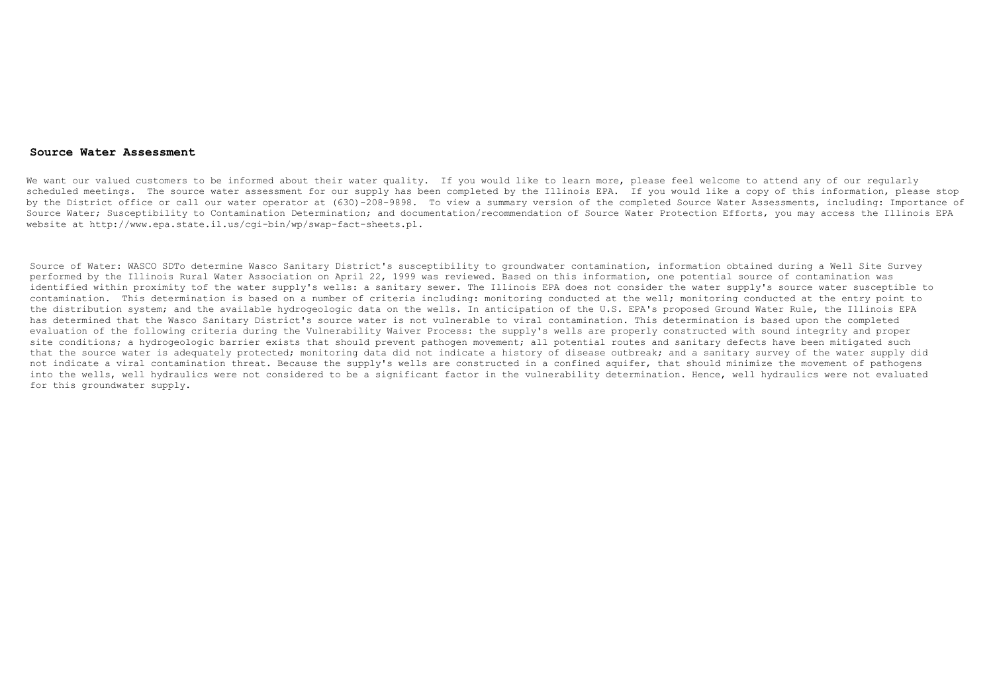#### **Source Water Assessment**

We want our valued customers to be informed about their water quality. If you would like to learn more, please feel welcome to attend any of our reqularly scheduled meetings. The source water assessment for our supply has been completed by the Illinois EPA. If you would like a copy of this information, please stop by the District office or call our water operator at (630)-208-9898. To view a summary version of the completed Source Water Assessments, including: Importance of Source Water; Susceptibility to Contamination Determination; and documentation/recommendation of Source Water Protection Efforts, you may access the Illinois EPA website at http://www.epa.state.il.us/cgi-bin/wp/swap-fact-sheets.pl.

Source of Water: WASCO SDTo determine Wasco Sanitary District's susceptibility to groundwater contamination, information obtained during a Well Site Survey performed by the Illinois Rural Water Association on April 22, 1999 was reviewed. Based on this information, one potential source of contamination was identified within proximity tof the water supply's wells: a sanitary sewer. The Illinois EPA does not consider the water supply's source water susceptible to contamination. This determination is based on a number of criteria including: monitoring conducted at the well; monitoring conducted at the entry point to the distribution system; and the available hydrogeologic data on the wells. In anticipation of the U.S. EPA's proposed Ground Water Rule, the Illinois EPA has determined that the Wasco Sanitary District's source water is not vulnerable to viral contamination. This determination is based upon the completed evaluation of the following criteria during the Vulnerability Waiver Process: the supply's wells are properly constructed with sound integrity and proper site conditions; a hydrogeologic barrier exists that should prevent pathogen movement; all potential routes and sanitary defects have been mitigated such that the source water is adequately protected; monitoring data did not indicate a history of disease outbreak; and a sanitary survey of the water supply did not indicate a viral contamination threat. Because the supply's wells are constructed in a confined aquifer, that should minimize the movement of pathogens into the wells, well hydraulics were not considered to be a significant factor in the vulnerability determination. Hence, well hydraulics were not evaluated for this groundwater supply.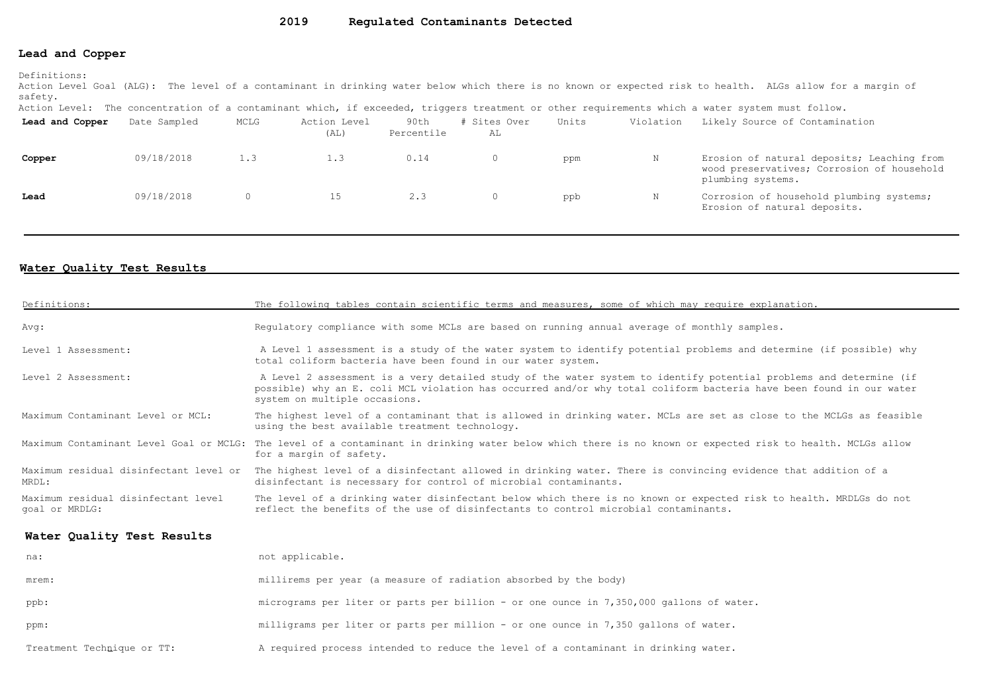#### **Lead and Copper**

Definitions:

Action Level Goal (ALG): The level of a contaminant in drinking water below which there is no known or expected risk to health. ALGs allow for a margin of safety.

Action Level: The concentration of a contaminant which, if exceeded, triggers treatment or other requirements which a water system must follow.

| Lead and Copper | Date Sampled | MCLG | Action Level<br>(AL) | 90th<br>Percentile | # Sites Over<br>AL | Units | Violation | Likely Source of Contamination                                                                                |
|-----------------|--------------|------|----------------------|--------------------|--------------------|-------|-----------|---------------------------------------------------------------------------------------------------------------|
| Copper          | 09/18/2018   | 1.3  | 1.3                  | 0.14               |                    | ppm   |           | Erosion of natural deposits; Leaching from<br>wood preservatives; Corrosion of household<br>plumbing systems. |
| Lead            | 09/18/2018   |      | 15.                  | 2.3                |                    | ppb   |           | Corrosion of household plumbing systems;<br>Erosion of natural deposits.                                      |

### **Water Quality Test Results**

| Definitions:                                          | The following tables contain scientific terms and measures, some of which may require explanation.                                                                                                                                                                         |
|-------------------------------------------------------|----------------------------------------------------------------------------------------------------------------------------------------------------------------------------------------------------------------------------------------------------------------------------|
| Avq:                                                  | Requlatory compliance with some MCLs are based on running annual average of monthly samples.                                                                                                                                                                               |
| Level 1 Assessment:                                   | A Level 1 assessment is a study of the water system to identify potential problems and determine (if possible) why<br>total coliform bacteria have been found in our water system.                                                                                         |
| Level 2 Assessment:                                   | A Level 2 assessment is a very detailed study of the water system to identify potential problems and determine (if<br>possible) why an E. coli MCL violation has occurred and/or why total coliform bacteria have been found in our water<br>system on multiple occasions. |
| Maximum Contaminant Level or MCL:                     | The highest level of a contaminant that is allowed in drinking water. MCLs are set as close to the MCLGs as feasible<br>using the best available treatment technology.                                                                                                     |
|                                                       | Maximum Contaminant Level Goal or MCLG: The level of a contaminant in drinking water below which there is no known or expected risk to health. MCLGs allow<br>for a margin of safety.                                                                                      |
| Maximum residual disinfectant level or<br>MRDL:       | The highest level of a disinfectant allowed in drinking water. There is convincing evidence that addition of a<br>disinfectant is necessary for control of microbial contaminants.                                                                                         |
| Maximum residual disinfectant level<br>goal or MRDLG: | The level of a drinking water disinfectant below which there is no known or expected risk to health. MRDLGs do not<br>reflect the benefits of the use of disinfectants to control microbial contaminants.                                                                  |
| Water Quality Test Results                            |                                                                                                                                                                                                                                                                            |
| na:                                                   | not applicable.                                                                                                                                                                                                                                                            |
| mrem:                                                 | millirems per year (a measure of radiation absorbed by the body)                                                                                                                                                                                                           |
| ppb:                                                  | micrograms per liter or parts per billion - or one ounce in 7,350,000 gallons of water.                                                                                                                                                                                    |
| ppm:                                                  | milligrams per liter or parts per million - or one ounce in 7,350 gallons of water.                                                                                                                                                                                        |
| Treatment Technique or TT:                            | A required process intended to reduce the level of a contaminant in drinking water.                                                                                                                                                                                        |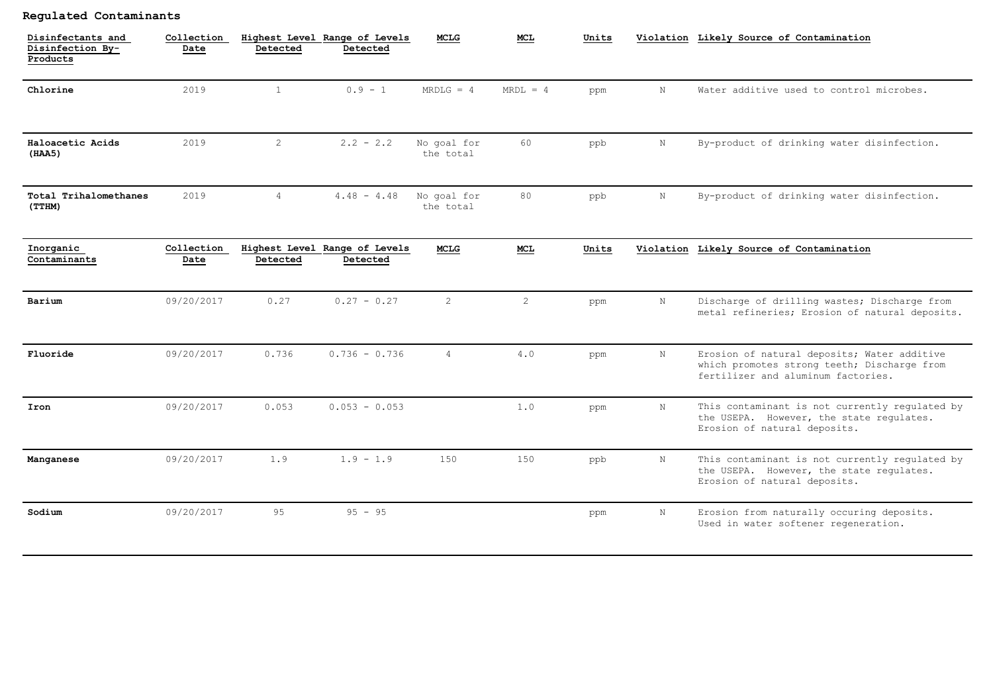## **Regulated Contaminants**

| Disinfectants and<br>Disinfection By-<br>Products | Collection<br>Date | Detected       | Highest Level Range of Levels<br>Detected | <b>MCLG</b>              | MCL.           | Units |             | Violation Likely Source of Contamination                                                                                         |
|---------------------------------------------------|--------------------|----------------|-------------------------------------------|--------------------------|----------------|-------|-------------|----------------------------------------------------------------------------------------------------------------------------------|
| Chlorine                                          | 2019               | $\mathbf{1}$   | $0.9 - 1$                                 | $MRDLG = 4$              | $MRDL = 4$     | ppm   | $\,$ N $\,$ | Water additive used to control microbes.                                                                                         |
| Haloacetic Acids<br>(HAA5)                        | 2019               | $\overline{2}$ | $2.2 - 2.2$                               | No goal for<br>the total | 60             | ppb   | N           | By-product of drinking water disinfection.                                                                                       |
| Total Trihalomethanes<br>(TTHM)                   | 2019               | $\overline{4}$ | $4.48 - 4.48$                             | No goal for<br>the total | 80             | ppb   | N           | By-product of drinking water disinfection.                                                                                       |
| Inorganic<br>Contaminants                         | Collection<br>Date | Detected       | Highest Level Range of Levels<br>Detected | MCLG                     | MCL            | Units |             | Violation Likely Source of Contamination                                                                                         |
| Barium                                            | 09/20/2017         | 0.27           | $0.27 - 0.27$                             | 2                        | $\overline{2}$ | ppm   | $\mathbf N$ | Discharge of drilling wastes; Discharge from<br>metal refineries; Erosion of natural deposits.                                   |
| Fluoride                                          | 09/20/2017         | 0.736          | $0.736 - 0.736$                           | $\overline{4}$           | 4.0            | ppm   | $\,$ N $\,$ | Erosion of natural deposits; Water additive<br>which promotes strong teeth; Discharge from<br>fertilizer and aluminum factories. |
| Iron                                              | 09/20/2017         | 0.053          | $0.053 - 0.053$                           |                          | 1.0            | ppm   | N           | This contaminant is not currently regulated by<br>the USEPA. However, the state regulates.<br>Erosion of natural deposits.       |
| Manganese                                         | 09/20/2017         | 1.9            | $1.9 - 1.9$                               | 150                      | 150            | ppb   | N           | This contaminant is not currently regulated by<br>the USEPA. However, the state regulates.<br>Erosion of natural deposits.       |
| Sodium                                            | 09/20/2017         | 9.5            | $95 - 95$                                 |                          |                | ppm   | N           | Erosion from naturally occuring deposits.<br>Used in water softener regeneration.                                                |